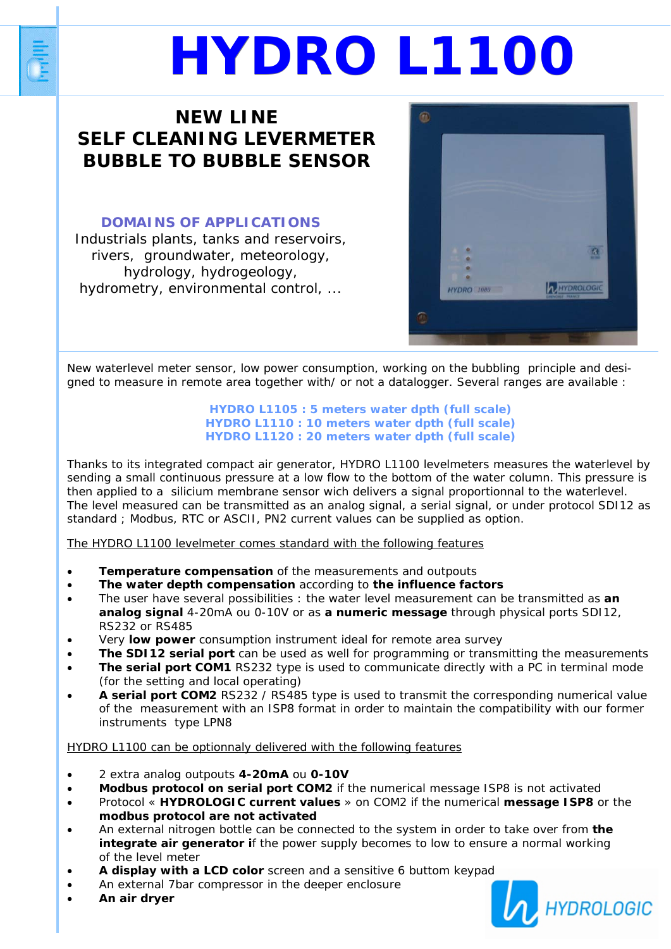# **NEW LINE SELF CLEANING LEVERMETER BUBBLE TO BUBBLE SENSOR**

## **DOMAINS OF APPLICATIONS**

Industrials plants, tanks and reservoirs, rivers, groundwater, meteorology, hydrology, hydrogeology, hydrometry, environmental control, ...



New waterlevel meter sensor, low power consumption, working on the bubbling principle and designed to measure in remote area together with/ or not a datalogger. Several ranges are available :

#### **HYDRO L1105 : 5 meters water dpth (full scale) HYDRO L1110 : 10 meters water dpth (full scale) HYDRO L1120 : 20 meters water dpth (full scale)**

Thanks to its integrated compact air generator, HYDRO L1100 levelmeters measures the waterlevel by sending a small continuous pressure at a low flow to the bottom of the water column. This pressure is then applied to a silicium membrane sensor wich delivers a signal proportionnal to the waterlevel. The level measured can be transmitted as an analog signal, a serial signal, or under protocol SDI12 as standard ; Modbus, RTC or ASCII, PN2 current values can be supplied as option.

### The HYDRO L1100 levelmeter comes standard with the following features

- **Temperature compensation** of the measurements and outpouts
- **The water depth compensation** according to **the influence factors**
- The user have several possibilities : the water level measurement can be transmitted as **an analog signal** 4-20mA ou 0-10V or as **a numeric message** through physical ports SDI12, RS232 or RS485
- Very **low power** consumption instrument ideal for remote area survey
- **The SDI12 serial port** can be used as well for programming or transmitting the measurements
- The serial port COM1 RS232 type is used to communicate directly with a PC in terminal mode (for the setting and local operating)
- **A serial port COM2** RS232 / RS485 type is used to transmit the corresponding numerical value of the measurement with an ISP8 format in order to maintain the compatibility with our former instruments type LPN8

## HYDRO L1100 can be optionnaly delivered with the following features

- 2 extra analog outpouts **4-20mA** ou **0-10V**
- **Modbus protocol on serial port COM2** if the numerical message ISP8 is not activated
- Protocol « **HYDROLOGIC current values** » on COM2 if the numerical **message ISP8** or the **modbus protocol are not activated**
- An external nitrogen bottle can be connected to the system in order to take over from **the integrate air generator if** the power supply becomes to low to ensure a normal working of the level meter
- **A display with a LCD color** screen and a sensitive 6 buttom keypad
- An external 7bar compressor in the deeper enclosure
- **An air dryer**